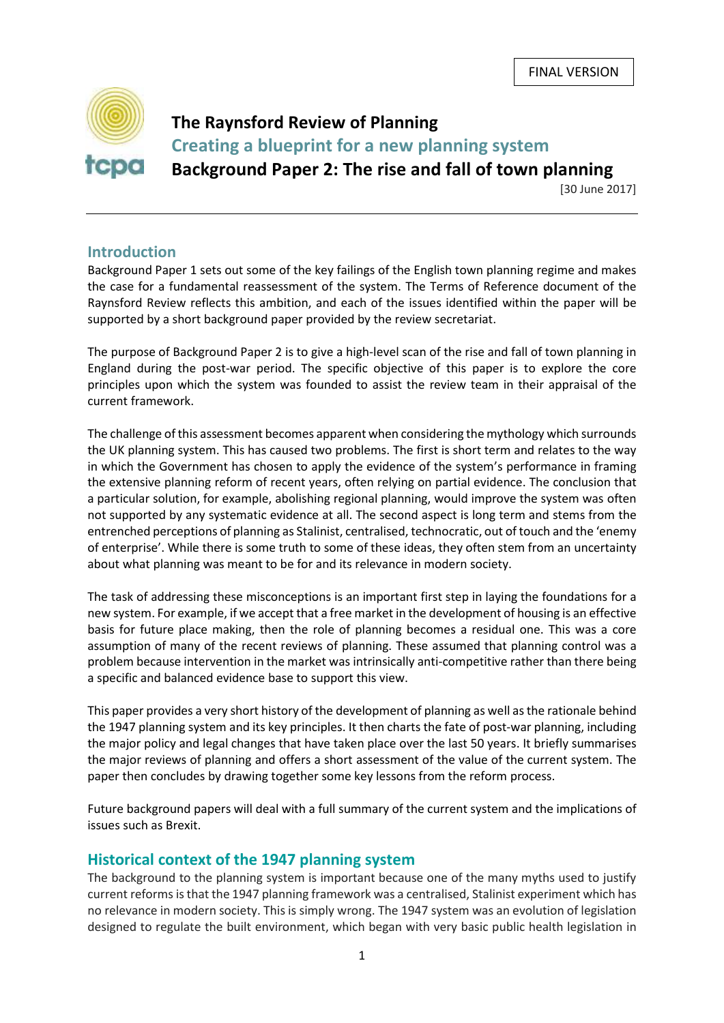

# **The Raynsford Review of Planning Creating a blueprint for a new planning system Background Paper 2: The rise and fall of town planning**

[30 June 2017]

# **Introduction**

Background Paper 1 sets out some of the key failings of the English town planning regime and makes the case for a fundamental reassessment of the system. The Terms of Reference document of the Raynsford Review reflects this ambition, and each of the issues identified within the paper will be supported by a short background paper provided by the review secretariat.

The purpose of Background Paper 2 is to give a high-level scan of the rise and fall of town planning in England during the post-war period. The specific objective of this paper is to explore the core principles upon which the system was founded to assist the review team in their appraisal of the current framework.

The challenge of this assessment becomes apparent when considering the mythology which surrounds the UK planning system. This has caused two problems. The first is short term and relates to the way in which the Government has chosen to apply the evidence of the system's performance in framing the extensive planning reform of recent years, often relying on partial evidence. The conclusion that a particular solution, for example, abolishing regional planning, would improve the system was often not supported by any systematic evidence at all. The second aspect is long term and stems from the entrenched perceptions of planning as Stalinist, centralised, technocratic, out of touch and the 'enemy of enterprise'. While there is some truth to some of these ideas, they often stem from an uncertainty about what planning was meant to be for and its relevance in modern society.

The task of addressing these misconceptions is an important first step in laying the foundations for a new system. For example, if we accept that a free market in the development of housing is an effective basis for future place making, then the role of planning becomes a residual one. This was a core assumption of many of the recent reviews of planning. These assumed that planning control was a problem because intervention in the market was intrinsically anti-competitive rather than there being a specific and balanced evidence base to support this view.

This paper provides a very short history of the development of planning as well asthe rationale behind the 1947 planning system and its key principles. It then charts the fate of post-war planning, including the major policy and legal changes that have taken place over the last 50 years. It briefly summarises the major reviews of planning and offers a short assessment of the value of the current system. The paper then concludes by drawing together some key lessons from the reform process.

Future background papers will deal with a full summary of the current system and the implications of issues such as Brexit.

# **Historical context of the 1947 planning system**

The background to the planning system is important because one of the many myths used to justify current reforms is that the 1947 planning framework was a centralised, Stalinist experiment which has no relevance in modern society. This is simply wrong. The 1947 system was an evolution of legislation designed to regulate the built environment, which began with very basic public health legislation in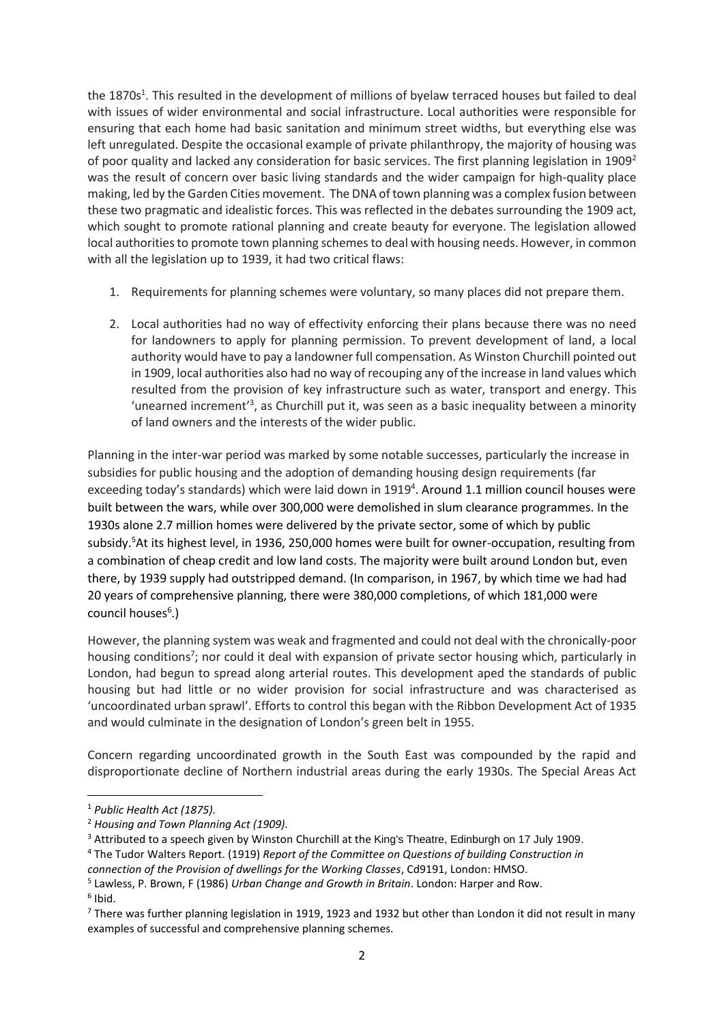the 1870s<sup>1</sup>. This resulted in the development of millions of byelaw terraced houses but failed to deal with issues of wider environmental and social infrastructure. Local authorities were responsible for ensuring that each home had basic sanitation and minimum street widths, but everything else was left unregulated. Despite the occasional example of private philanthropy, the majority of housing was of poor quality and lacked any consideration for basic services. The first planning legislation in  $1909^2$ was the result of concern over basic living standards and the wider campaign for high-quality place making, led by the Garden Cities movement. The DNA of town planning was a complex fusion between these two pragmatic and idealistic forces. This was reflected in the debates surrounding the 1909 act, which sought to promote rational planning and create beauty for everyone. The legislation allowed local authorities to promote town planning schemes to deal with housing needs. However, in common with all the legislation up to 1939, it had two critical flaws:

- 1. Requirements for planning schemes were voluntary, so many places did not prepare them.
- 2. Local authorities had no way of effectivity enforcing their plans because there was no need for landowners to apply for planning permission. To prevent development of land, a local authority would have to pay a landowner full compensation. As Winston Churchill pointed out in 1909, local authorities also had no way of recouping any of the increase in land values which resulted from the provision of key infrastructure such as water, transport and energy. This 'unearned increment<sup>'3</sup>, as Churchill put it, was seen as a basic inequality between a minority of land owners and the interests of the wider public.

Planning in the inter-war period was marked by some notable successes, particularly the increase in subsidies for public housing and the adoption of demanding housing design requirements (far exceeding today's standards) which were laid down in 1919<sup>4</sup>. Around 1.1 million council houses were built between the wars, while over 300,000 were demolished in slum clearance programmes. In the 1930s alone 2.7 million homes were delivered by the private sector, some of which by public subsidy.<sup>5</sup>At its highest level, in 1936, 250,000 homes were built for owner-occupation, resulting from a combination of cheap credit and low land costs. The majority were built around London but, even there, by 1939 supply had outstripped demand. (In comparison, in 1967, by which time we had had 20 years of comprehensive planning, there were 380,000 completions, of which 181,000 were council houses<sup>6</sup>.)

However, the planning system was weak and fragmented and could not deal with the chronically-poor housing conditions<sup>7</sup>; nor could it deal with expansion of private sector housing which, particularly in London, had begun to spread along arterial routes. This development aped the standards of public housing but had little or no wider provision for social infrastructure and was characterised as 'uncoordinated urban sprawl'. Efforts to control this began with the Ribbon Development Act of 1935 and would culminate in the designation of London's green belt in 1955.

Concern regarding uncoordinated growth in the South East was compounded by the rapid and disproportionate decline of Northern industrial areas during the early 1930s. The Special Areas Act

6 Ibid.

 $\overline{a}$ 

<sup>1</sup> *Public Health Act (1875).*

<sup>2</sup> *Housing and Town Planning Act (1909).*

<sup>&</sup>lt;sup>3</sup> Attributed to a speech given by Winston Churchill at the King's Theatre, Edinburgh on 17 July 1909.

<sup>4</sup> The Tudor Walters Report. (1919) *Report of the Committee on Questions of building Construction in* 

*connection of the Provision of dwellings for the Working Classes*, Cd9191, London: HMSO.

<sup>5</sup> Lawless, P. Brown, F (1986) *Urban Change and Growth in Britain*. London: Harper and Row.

 $7$  There was further planning legislation in 1919, 1923 and 1932 but other than London it did not result in many examples of successful and comprehensive planning schemes.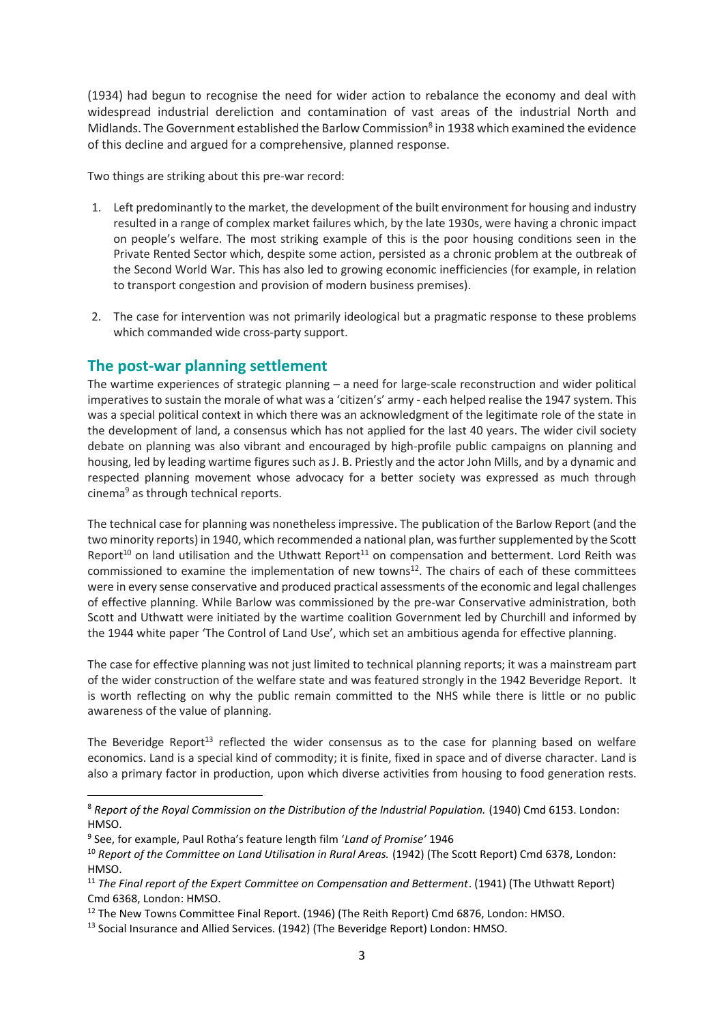(1934) had begun to recognise the need for wider action to rebalance the economy and deal with widespread industrial dereliction and contamination of vast areas of the industrial North and Midlands. The Government established the Barlow Commission<sup>8</sup> in 1938 which examined the evidence of this decline and argued for a comprehensive, planned response.

Two things are striking about this pre-war record:

- 1. Left predominantly to the market, the development of the built environment for housing and industry resulted in a range of complex market failures which, by the late 1930s, were having a chronic impact on people's welfare. The most striking example of this is the poor housing conditions seen in the Private Rented Sector which, despite some action, persisted as a chronic problem at the outbreak of the Second World War. This has also led to growing economic inefficiencies (for example, in relation to transport congestion and provision of modern business premises).
- 2. The case for intervention was not primarily ideological but a pragmatic response to these problems which commanded wide cross-party support.

### **The post-war planning settlement**

The wartime experiences of strategic planning – a need for large-scale reconstruction and wider political imperatives to sustain the morale of what was a 'citizen's' army - each helped realise the 1947 system. This was a special political context in which there was an acknowledgment of the legitimate role of the state in the development of land, a consensus which has not applied for the last 40 years. The wider civil society debate on planning was also vibrant and encouraged by high-profile public campaigns on planning and housing, led by leading wartime figures such as J. B. Priestly and the actor John Mills, and by a dynamic and respected planning movement whose advocacy for a better society was expressed as much through cinema<sup>9</sup> as through technical reports.

The technical case for planning was nonetheless impressive. The publication of the Barlow Report (and the two minority reports) in 1940, which recommended a national plan, was further supplemented by the Scott Report<sup>10</sup> on land utilisation and the Uthwatt Report<sup>11</sup> on compensation and betterment. Lord Reith was commissioned to examine the implementation of new towns<sup>12</sup>. The chairs of each of these committees were in every sense conservative and produced practical assessments of the economic and legal challenges of effective planning. While Barlow was commissioned by the pre-war Conservative administration, both Scott and Uthwatt were initiated by the wartime coalition Government led by Churchill and informed by the 1944 white paper 'The Control of Land Use', which set an ambitious agenda for effective planning.

The case for effective planning was not just limited to technical planning reports; it was a mainstream part of the wider construction of the welfare state and was featured strongly in the 1942 Beveridge Report. It is worth reflecting on why the public remain committed to the NHS while there is little or no public awareness of the value of planning.

The Beveridge Report<sup>13</sup> reflected the wider consensus as to the case for planning based on welfare economics. Land is a special kind of commodity; it is finite, fixed in space and of diverse character. Land is also a primary factor in production, upon which diverse activities from housing to food generation rests.

9 See, for example, Paul Rotha's feature length film '*Land of Promise'* 1946

 $\overline{a}$ 

<sup>&</sup>lt;sup>8</sup> Report of the Royal Commission on the Distribution of the Industrial Population. (1940) Cmd 6153. London: HMSO.

<sup>10</sup> *Report of the Committee on Land Utilisation in Rural Areas.* (1942) (The Scott Report) Cmd 6378, London: HMSO.

<sup>&</sup>lt;sup>11</sup> The Final report of the Expert Committee on Compensation and Betterment. (1941) (The Uthwatt Report) Cmd 6368, London: HMSO.

<sup>&</sup>lt;sup>12</sup> The New Towns Committee Final Report. (1946) (The Reith Report) Cmd 6876, London: HMSO.

<sup>13</sup> Social Insurance and Allied Services. (1942) (The Beveridge Report) London: HMSO.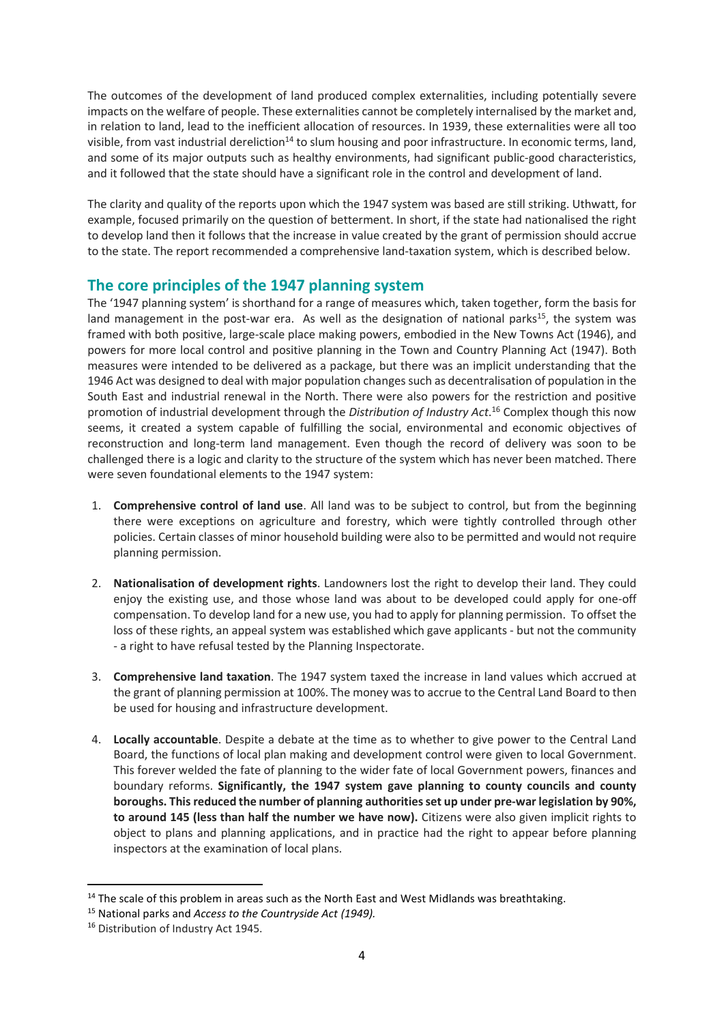The outcomes of the development of land produced complex externalities, including potentially severe impacts on the welfare of people. These externalities cannot be completely internalised by the market and, in relation to land, lead to the inefficient allocation of resources. In 1939, these externalities were all too visible, from vast industrial dereliction<sup>14</sup> to slum housing and poor infrastructure. In economic terms, land, and some of its major outputs such as healthy environments, had significant public-good characteristics, and it followed that the state should have a significant role in the control and development of land.

The clarity and quality of the reports upon which the 1947 system was based are still striking. Uthwatt, for example, focused primarily on the question of betterment. In short, if the state had nationalised the right to develop land then it follows that the increase in value created by the grant of permission should accrue to the state. The report recommended a comprehensive land-taxation system, which is described below.

# **The core principles of the 1947 planning system**

The '1947 planning system' is shorthand for a range of measures which, taken together, form the basis for land management in the post-war era. As well as the designation of national parks<sup>15</sup>, the system was framed with both positive, large-scale place making powers, embodied in the New Towns Act (1946), and powers for more local control and positive planning in the Town and Country Planning Act (1947). Both measures were intended to be delivered as a package, but there was an implicit understanding that the 1946 Act was designed to deal with major population changes such as decentralisation of population in the South East and industrial renewal in the North. There were also powers for the restriction and positive promotion of industrial development through the *Distribution of Industry Act*. <sup>16</sup> Complex though this now seems, it created a system capable of fulfilling the social, environmental and economic objectives of reconstruction and long-term land management. Even though the record of delivery was soon to be challenged there is a logic and clarity to the structure of the system which has never been matched. There were seven foundational elements to the 1947 system:

- 1. **Comprehensive control of land use**. All land was to be subject to control, but from the beginning there were exceptions on agriculture and forestry, which were tightly controlled through other policies. Certain classes of minor household building were also to be permitted and would not require planning permission.
- 2. **Nationalisation of development rights**. Landowners lost the right to develop their land. They could enjoy the existing use, and those whose land was about to be developed could apply for one-off compensation. To develop land for a new use, you had to apply for planning permission. To offset the loss of these rights, an appeal system was established which gave applicants - but not the community - a right to have refusal tested by the Planning Inspectorate.
- 3. **Comprehensive land taxation**. The 1947 system taxed the increase in land values which accrued at the grant of planning permission at 100%. The money was to accrue to the Central Land Board to then be used for housing and infrastructure development.
- 4. **Locally accountable**. Despite a debate at the time as to whether to give power to the Central Land Board, the functions of local plan making and development control were given to local Government. This forever welded the fate of planning to the wider fate of local Government powers, finances and boundary reforms. **Significantly, the 1947 system gave planning to county councils and county boroughs. This reduced the number of planning authorities set up under pre-war legislation by 90%, to around 145 (less than half the number we have now).** Citizens were also given implicit rights to object to plans and planning applications, and in practice had the right to appear before planning inspectors at the examination of local plans.

**.** 

<sup>&</sup>lt;sup>14</sup> The scale of this problem in areas such as the North East and West Midlands was breathtaking.

<sup>15</sup> National parks and *Access to the Countryside Act (1949).*

<sup>&</sup>lt;sup>16</sup> Distribution of Industry Act 1945.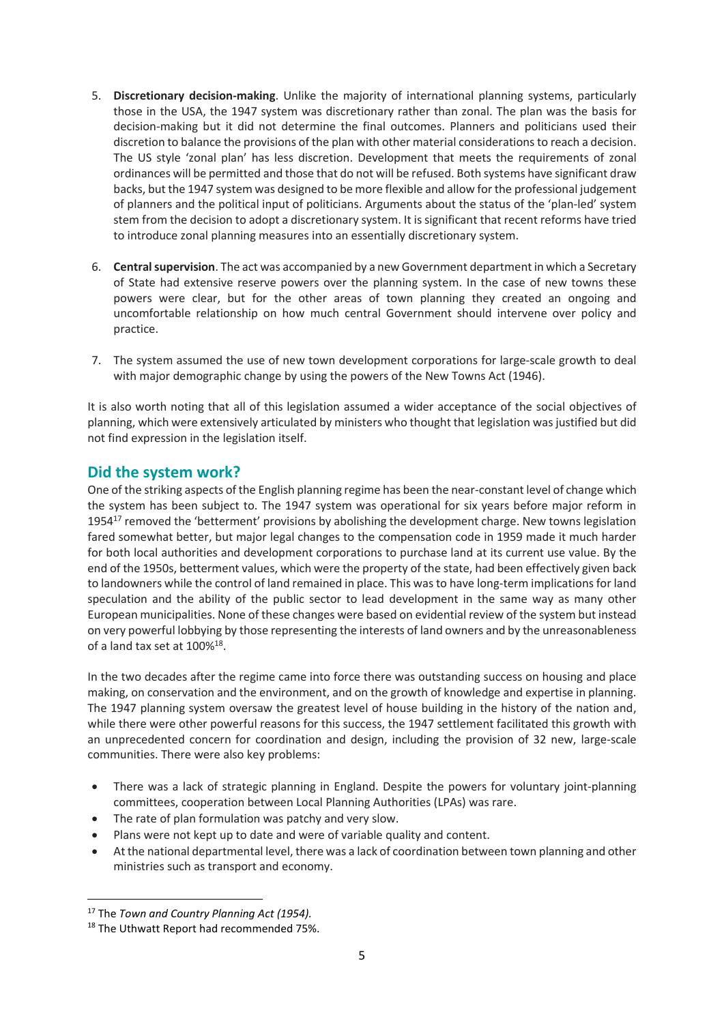- 5. **Discretionary decision-making**. Unlike the majority of international planning systems, particularly those in the USA, the 1947 system was discretionary rather than zonal. The plan was the basis for decision-making but it did not determine the final outcomes. Planners and politicians used their discretion to balance the provisions of the plan with other material considerationsto reach a decision. The US style 'zonal plan' has less discretion. Development that meets the requirements of zonal ordinances will be permitted and those that do not will be refused. Both systems have significant draw backs, but the 1947 system was designed to be more flexible and allow for the professional judgement of planners and the political input of politicians. Arguments about the status of the 'plan-led' system stem from the decision to adopt a discretionary system. It is significant that recent reforms have tried to introduce zonal planning measures into an essentially discretionary system.
- 6. **Central supervision**. The act was accompanied by a new Government department in which a Secretary of State had extensive reserve powers over the planning system. In the case of new towns these powers were clear, but for the other areas of town planning they created an ongoing and uncomfortable relationship on how much central Government should intervene over policy and practice.
- 7. The system assumed the use of new town development corporations for large-scale growth to deal with major demographic change by using the powers of the New Towns Act (1946).

It is also worth noting that all of this legislation assumed a wider acceptance of the social objectives of planning, which were extensively articulated by ministers who thought that legislation was justified but did not find expression in the legislation itself.

# **Did the system work?**

One of the striking aspects of the English planning regime has been the near-constant level of change which the system has been subject to. The 1947 system was operational for six years before major reform in 1954 $^{17}$  removed the 'betterment' provisions by abolishing the development charge. New towns legislation fared somewhat better, but major legal changes to the compensation code in 1959 made it much harder for both local authorities and development corporations to purchase land at its current use value. By the end of the 1950s, betterment values, which were the property of the state, had been effectively given back to landowners while the control of land remained in place. This was to have long-term implications for land speculation and the ability of the public sector to lead development in the same way as many other European municipalities. None of these changes were based on evidential review of the system but instead on very powerful lobbying by those representing the interests of land owners and by the unreasonableness of a land tax set at  $100\%^{18}$ .

In the two decades after the regime came into force there was outstanding success on housing and place making, on conservation and the environment, and on the growth of knowledge and expertise in planning. The 1947 planning system oversaw the greatest level of house building in the history of the nation and, while there were other powerful reasons for this success, the 1947 settlement facilitated this growth with an unprecedented concern for coordination and design, including the provision of 32 new, large-scale communities. There were also key problems:

- There was a lack of strategic planning in England. Despite the powers for voluntary joint-planning committees, cooperation between Local Planning Authorities (LPAs) was rare.
- The rate of plan formulation was patchy and very slow.
- Plans were not kept up to date and were of variable quality and content.
- At the national departmental level, there was a lack of coordination between town planning and other ministries such as transport and economy.

1

<sup>17</sup> The *Town and Country Planning Act (1954).*

<sup>18</sup> The Uthwatt Report had recommended 75%.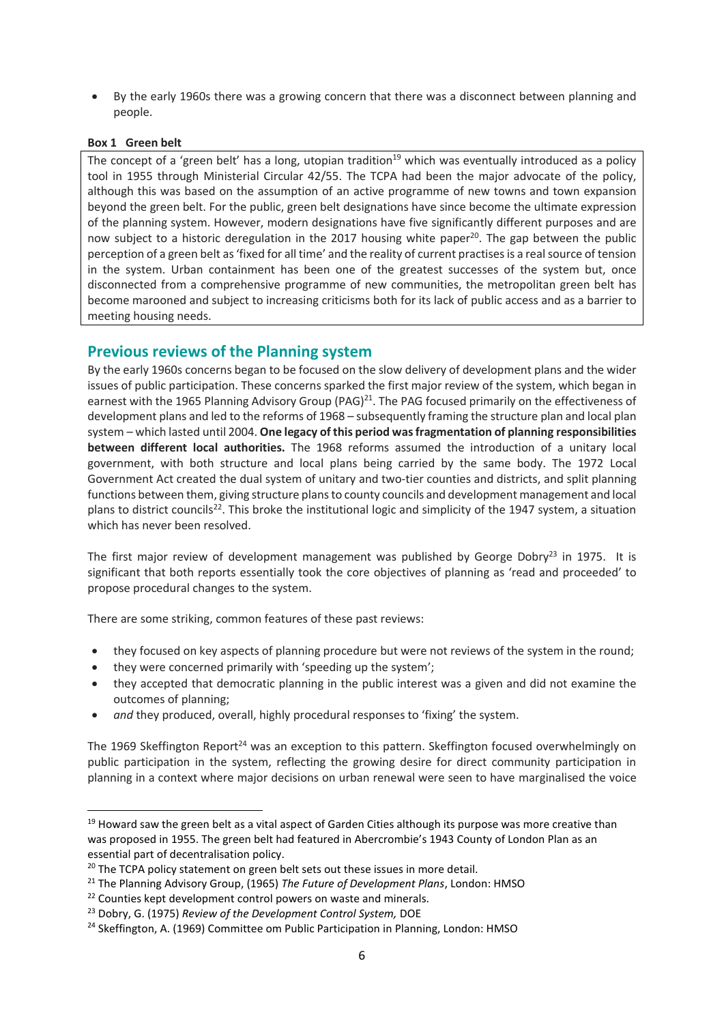• By the early 1960s there was a growing concern that there was a disconnect between planning and people.

#### **Box 1 Green belt**

1

The concept of a 'green belt' has a long, utopian tradition<sup>19</sup> which was eventually introduced as a policy tool in 1955 through Ministerial Circular 42/55. The TCPA had been the major advocate of the policy, although this was based on the assumption of an active programme of new towns and town expansion beyond the green belt. For the public, green belt designations have since become the ultimate expression of the planning system. However, modern designations have five significantly different purposes and are now subject to a historic deregulation in the 2017 housing white paper<sup>20</sup>. The gap between the public perception of a green belt as 'fixed for all time' and the reality of current practisesis a real source of tension in the system. Urban containment has been one of the greatest successes of the system but, once disconnected from a comprehensive programme of new communities, the metropolitan green belt has become marooned and subject to increasing criticisms both for its lack of public access and as a barrier to meeting housing needs.

### **Previous reviews of the Planning system**

By the early 1960s concerns began to be focused on the slow delivery of development plans and the wider issues of public participation. These concerns sparked the first major review of the system, which began in earnest with the 1965 Planning Advisory Group (PAG)<sup>21</sup>. The PAG focused primarily on the effectiveness of development plans and led to the reforms of 1968 – subsequently framing the structure plan and local plan system – which lasted until 2004. **One legacy of this period was fragmentation of planning responsibilities between different local authorities.** The 1968 reforms assumed the introduction of a unitary local government, with both structure and local plans being carried by the same body. The 1972 Local Government Act created the dual system of unitary and two-tier counties and districts, and split planning functions between them, giving structure plansto county councils and development management and local plans to district councils<sup>22</sup>. This broke the institutional logic and simplicity of the 1947 system, a situation which has never been resolved.

The first major review of development management was published by George Dobry<sup>23</sup> in 1975. It is significant that both reports essentially took the core objectives of planning as 'read and proceeded' to propose procedural changes to the system.

There are some striking, common features of these past reviews:

- they focused on key aspects of planning procedure but were not reviews of the system in the round;
- they were concerned primarily with 'speeding up the system';
- they accepted that democratic planning in the public interest was a given and did not examine the outcomes of planning;
- *and* they produced, overall, highly procedural responses to 'fixing' the system.

The 1969 Skeffington Report<sup>24</sup> was an exception to this pattern. Skeffington focused overwhelmingly on public participation in the system, reflecting the growing desire for direct community participation in planning in a context where major decisions on urban renewal were seen to have marginalised the voice

<sup>&</sup>lt;sup>19</sup> Howard saw the green belt as a vital aspect of Garden Cities although its purpose was more creative than was proposed in 1955. The green belt had featured in Abercrombie's 1943 County of London Plan as an essential part of decentralisation policy.

<sup>&</sup>lt;sup>20</sup> The TCPA policy statement on green belt sets out these issues in more detail.

<sup>21</sup> The Planning Advisory Group, (1965) *The Future of Development Plans*, London: HMSO

<sup>&</sup>lt;sup>22</sup> Counties kept development control powers on waste and minerals.

<sup>23</sup> Dobry, G. (1975) *Review of the Development Control System,* DOE

<sup>&</sup>lt;sup>24</sup> Skeffington, A. (1969) Committee om Public Participation in Planning, London: HMSO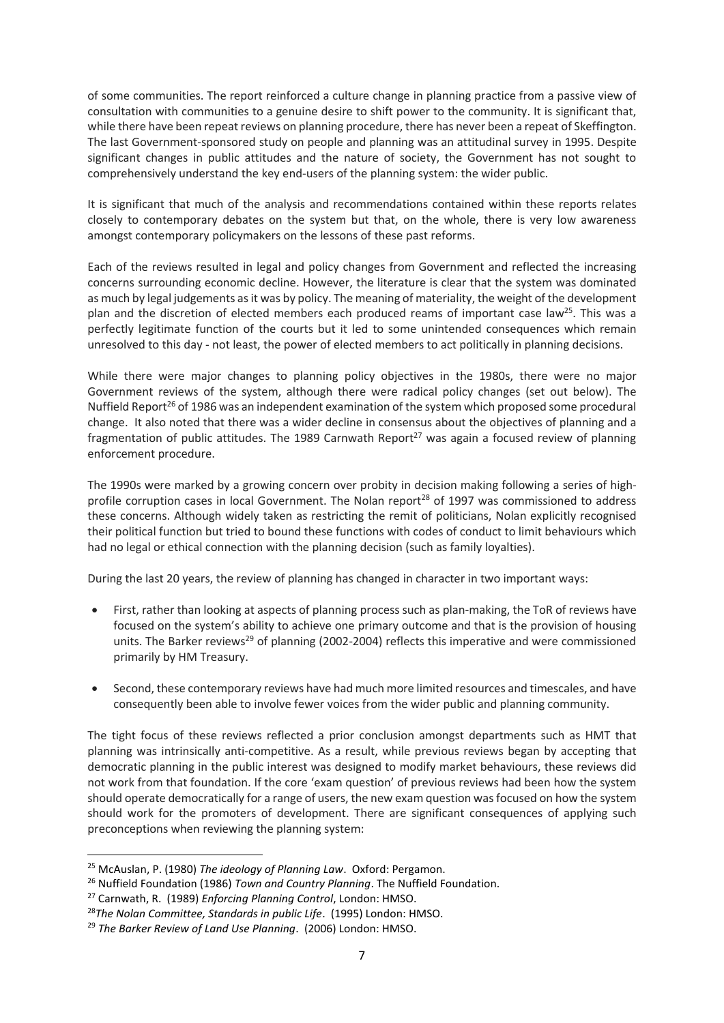of some communities. The report reinforced a culture change in planning practice from a passive view of consultation with communities to a genuine desire to shift power to the community. It is significant that, while there have been repeat reviews on planning procedure, there has never been a repeat of Skeffington. The last Government-sponsored study on people and planning was an attitudinal survey in 1995. Despite significant changes in public attitudes and the nature of society, the Government has not sought to comprehensively understand the key end-users of the planning system: the wider public.

It is significant that much of the analysis and recommendations contained within these reports relates closely to contemporary debates on the system but that, on the whole, there is very low awareness amongst contemporary policymakers on the lessons of these past reforms.

Each of the reviews resulted in legal and policy changes from Government and reflected the increasing concerns surrounding economic decline. However, the literature is clear that the system was dominated as much by legal judgements as it was by policy. The meaning of materiality, the weight of the development plan and the discretion of elected members each produced reams of important case law<sup>25</sup>. This was a perfectly legitimate function of the courts but it led to some unintended consequences which remain unresolved to this day - not least, the power of elected members to act politically in planning decisions.

While there were major changes to planning policy objectives in the 1980s, there were no major Government reviews of the system, although there were radical policy changes (set out below). The Nuffield Report<sup>26</sup> of 1986 was an independent examination of the system which proposed some procedural change. It also noted that there was a wider decline in consensus about the objectives of planning and a fragmentation of public attitudes. The 1989 Carnwath Report<sup>27</sup> was again a focused review of planning enforcement procedure.

The 1990s were marked by a growing concern over probity in decision making following a series of highprofile corruption cases in local Government. The Nolan report<sup>28</sup> of 1997 was commissioned to address these concerns. Although widely taken as restricting the remit of politicians, Nolan explicitly recognised their political function but tried to bound these functions with codes of conduct to limit behaviours which had no legal or ethical connection with the planning decision (such as family loyalties).

During the last 20 years, the review of planning has changed in character in two important ways:

- First, rather than looking at aspects of planning process such as plan-making, the ToR of reviews have focused on the system's ability to achieve one primary outcome and that is the provision of housing units. The Barker reviews<sup>29</sup> of planning (2002-2004) reflects this imperative and were commissioned primarily by HM Treasury.
- Second, these contemporary reviews have had much more limited resources and timescales, and have consequently been able to involve fewer voices from the wider public and planning community.

The tight focus of these reviews reflected a prior conclusion amongst departments such as HMT that planning was intrinsically anti-competitive. As a result, while previous reviews began by accepting that democratic planning in the public interest was designed to modify market behaviours, these reviews did not work from that foundation. If the core 'exam question' of previous reviews had been how the system should operate democratically for a range of users, the new exam question was focused on how the system should work for the promoters of development. There are significant consequences of applying such preconceptions when reviewing the planning system:

**.** 

<sup>25</sup> McAuslan, P. (1980) *The ideology of Planning Law*. Oxford: Pergamon.

<sup>26</sup> Nuffield Foundation (1986) *Town and Country Planning*. The Nuffield Foundation.

<sup>27</sup> Carnwath, R. (1989) *Enforcing Planning Control*, London: HMSO.

<sup>28</sup>*The Nolan Committee, Standards in public Life*. (1995) London: HMSO.

<sup>29</sup> *The Barker Review of Land Use Planning*. (2006) London: HMSO.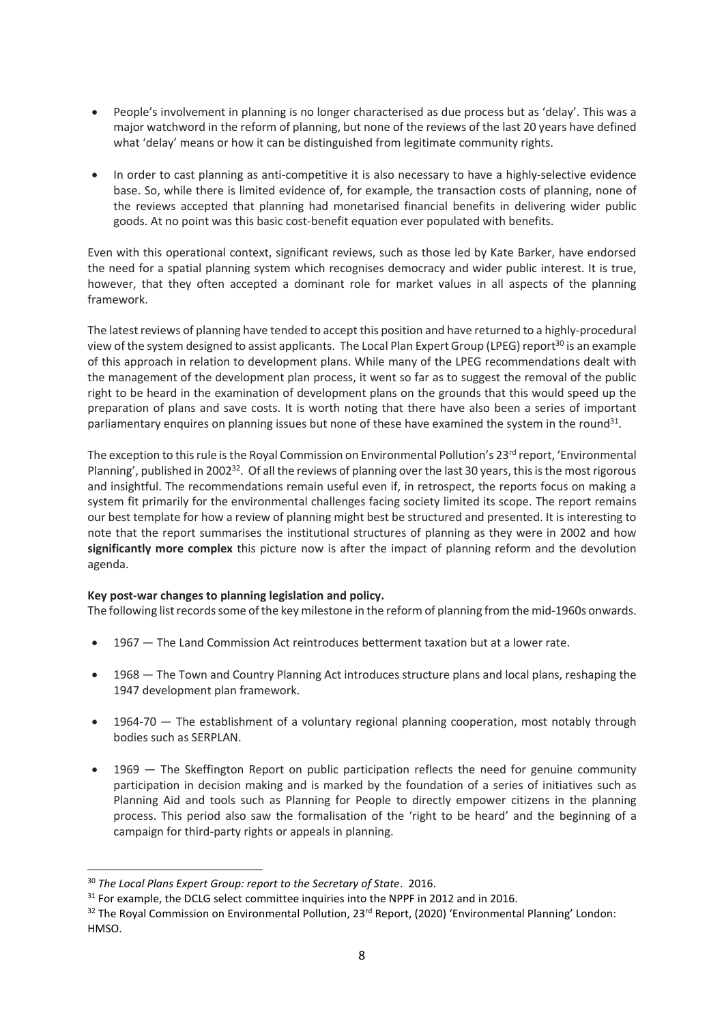- People's involvement in planning is no longer characterised as due process but as 'delay'. This was a major watchword in the reform of planning, but none of the reviews of the last 20 years have defined what 'delay' means or how it can be distinguished from legitimate community rights.
- In order to cast planning as anti-competitive it is also necessary to have a highly-selective evidence base. So, while there is limited evidence of, for example, the transaction costs of planning, none of the reviews accepted that planning had monetarised financial benefits in delivering wider public goods. At no point was this basic cost-benefit equation ever populated with benefits.

Even with this operational context, significant reviews, such as those led by Kate Barker, have endorsed the need for a spatial planning system which recognises democracy and wider public interest. It is true, however, that they often accepted a dominant role for market values in all aspects of the planning framework.

The latestreviews of planning have tended to accept this position and have returned to a highly-procedural view of the system designed to assist applicants. The Local Plan Expert Group (LPEG) report<sup>30</sup> is an example of this approach in relation to development plans. While many of the LPEG recommendations dealt with the management of the development plan process, it went so far as to suggest the removal of the public right to be heard in the examination of development plans on the grounds that this would speed up the preparation of plans and save costs. It is worth noting that there have also been a series of important parliamentary enquires on planning issues but none of these have examined the system in the round<sup>31</sup>.

The exception to this rule is the Royal Commission on Environmental Pollution's  $23<sup>rd</sup>$  report, 'Environmental Planning', published in 2002<sup>32</sup>. Of all the reviews of planning over the last 30 years, this is the most rigorous and insightful. The recommendations remain useful even if, in retrospect, the reports focus on making a system fit primarily for the environmental challenges facing society limited its scope. The report remains our best template for how a review of planning might best be structured and presented. It is interesting to note that the report summarises the institutional structures of planning as they were in 2002 and how **significantly more complex** this picture now is after the impact of planning reform and the devolution agenda.

#### **Key post-war changes to planning legislation and policy.**

The following list recordssome of the key milestone in the reform of planning from the mid-1960s onwards.

- 1967 The Land Commission Act reintroduces betterment taxation but at a lower rate.
- 1968 The Town and Country Planning Act introduces structure plans and local plans, reshaping the 1947 development plan framework.
- 1964-70 The establishment of a voluntary regional planning cooperation, most notably through bodies such as SERPLAN.
- 1969 The Skeffington Report on public participation reflects the need for genuine community participation in decision making and is marked by the foundation of a series of initiatives such as Planning Aid and tools such as Planning for People to directly empower citizens in the planning process. This period also saw the formalisation of the 'right to be heard' and the beginning of a campaign for third-party rights or appeals in planning.

1

<sup>30</sup> *The Local Plans Expert Group: report to the Secretary of State*. 2016.

<sup>&</sup>lt;sup>31</sup> For example, the DCLG select committee inquiries into the NPPF in 2012 and in 2016.

<sup>&</sup>lt;sup>32</sup> The Royal Commission on Environmental Pollution, 23<sup>rd</sup> Report, (2020) 'Environmental Planning' London: HMSO.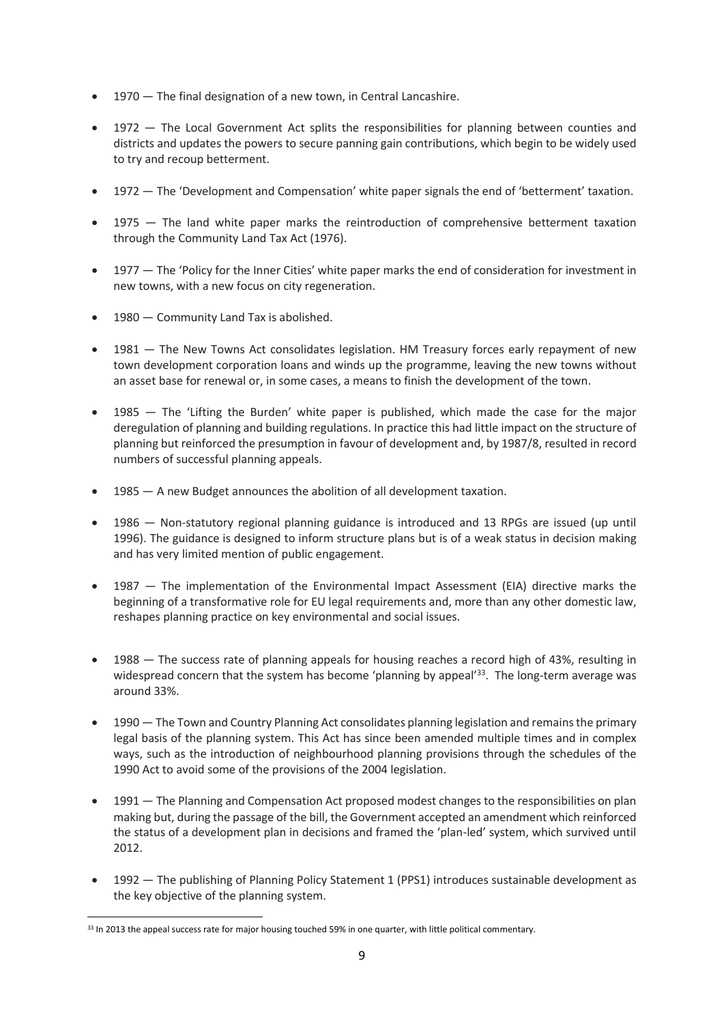- 1970 The final designation of a new town, in Central Lancashire.
- 1972 The Local Government Act splits the responsibilities for planning between counties and districts and updates the powers to secure panning gain contributions, which begin to be widely used to try and recoup betterment.
- 1972 The 'Development and Compensation' white paper signals the end of 'betterment' taxation.
- 1975 The land white paper marks the reintroduction of comprehensive betterment taxation through the Community Land Tax Act (1976).
- 1977 The 'Policy for the Inner Cities' white paper marks the end of consideration for investment in new towns, with a new focus on city regeneration.
- 1980 Community Land Tax is abolished.
- 1981 The New Towns Act consolidates legislation. HM Treasury forces early repayment of new town development corporation loans and winds up the programme, leaving the new towns without an asset base for renewal or, in some cases, a means to finish the development of the town.
- 1985 The 'Lifting the Burden' white paper is published, which made the case for the major deregulation of planning and building regulations. In practice this had little impact on the structure of planning but reinforced the presumption in favour of development and, by 1987/8, resulted in record numbers of successful planning appeals.
- 1985 A new Budget announces the abolition of all development taxation.
- 1986 Non-statutory regional planning guidance is introduced and 13 RPGs are issued (up until 1996). The guidance is designed to inform structure plans but is of a weak status in decision making and has very limited mention of public engagement.
- 1987 The implementation of the Environmental Impact Assessment (EIA) directive marks the beginning of a transformative role for EU legal requirements and, more than any other domestic law, reshapes planning practice on key environmental and social issues.
- 1988 The success rate of planning appeals for housing reaches a record high of 43%, resulting in widespread concern that the system has become 'planning by appeal'<sup>33</sup>. The long-term average was around 33%.
- 1990 The Town and Country Planning Act consolidates planning legislation and remains the primary legal basis of the planning system. This Act has since been amended multiple times and in complex ways, such as the introduction of neighbourhood planning provisions through the schedules of the 1990 Act to avoid some of the provisions of the 2004 legislation.
- 1991 The Planning and Compensation Act proposed modest changes to the responsibilities on plan making but, during the passage of the bill, the Government accepted an amendment which reinforced the status of a development plan in decisions and framed the 'plan-led' system, which survived until 2012.
- 1992 The publishing of Planning Policy Statement 1 (PPS1) introduces sustainable development as the key objective of the planning system.

 $\overline{a}$ 33 In 2013 the appeal success rate for major housing touched 59% in one quarter, with little political commentary.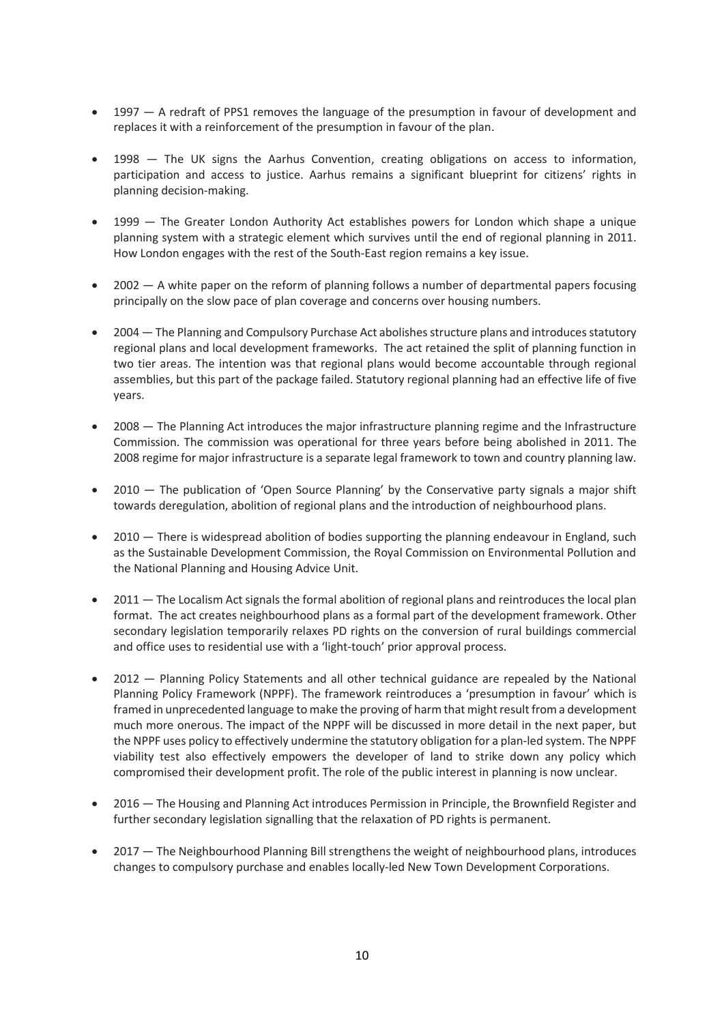- 1997 A redraft of PPS1 removes the language of the presumption in favour of development and replaces it with a reinforcement of the presumption in favour of the plan.
- 1998 The UK signs the Aarhus Convention, creating obligations on access to information, participation and access to justice. Aarhus remains a significant blueprint for citizens' rights in planning decision-making.
- 1999 The Greater London Authority Act establishes powers for London which shape a unique planning system with a strategic element which survives until the end of regional planning in 2011. How London engages with the rest of the South-East region remains a key issue.
- 2002 A white paper on the reform of planning follows a number of departmental papers focusing principally on the slow pace of plan coverage and concerns over housing numbers.
- 2004 The Planning and Compulsory Purchase Act abolishes structure plans and introduces statutory regional plans and local development frameworks. The act retained the split of planning function in two tier areas. The intention was that regional plans would become accountable through regional assemblies, but this part of the package failed. Statutory regional planning had an effective life of five years.
- 2008 The Planning Act introduces the major infrastructure planning regime and the Infrastructure Commission. The commission was operational for three years before being abolished in 2011. The 2008 regime for major infrastructure is a separate legal framework to town and country planning law.
- 2010 The publication of 'Open Source Planning' by the Conservative party signals a major shift towards deregulation, abolition of regional plans and the introduction of neighbourhood plans.
- 2010 There is widespread abolition of bodies supporting the planning endeavour in England, such as the Sustainable Development Commission, the Royal Commission on Environmental Pollution and the National Planning and Housing Advice Unit.
- 2011 The Localism Act signals the formal abolition of regional plans and reintroduces the local plan format. The act creates neighbourhood plans as a formal part of the development framework. Other secondary legislation temporarily relaxes PD rights on the conversion of rural buildings commercial and office uses to residential use with a 'light-touch' prior approval process.
- 2012 Planning Policy Statements and all other technical guidance are repealed by the National Planning Policy Framework (NPPF). The framework reintroduces a 'presumption in favour' which is framed in unprecedented language to make the proving of harm that might result from a development much more onerous. The impact of the NPPF will be discussed in more detail in the next paper, but the NPPF uses policy to effectively undermine the statutory obligation for a plan-led system. The NPPF viability test also effectively empowers the developer of land to strike down any policy which compromised their development profit. The role of the public interest in planning is now unclear.
- 2016 The Housing and Planning Act introduces Permission in Principle, the Brownfield Register and further secondary legislation signalling that the relaxation of PD rights is permanent.
- 2017 The Neighbourhood Planning Bill strengthens the weight of neighbourhood plans, introduces changes to compulsory purchase and enables locally-led New Town Development Corporations.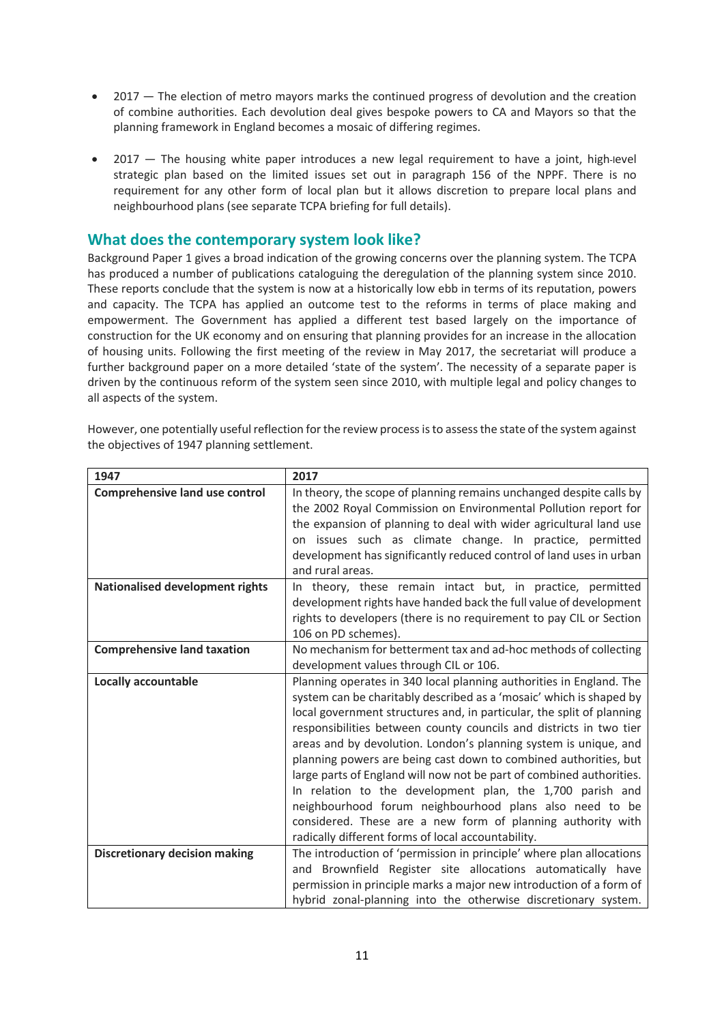- 2017 The election of metro mayors marks the continued progress of devolution and the creation of combine authorities. Each devolution deal gives bespoke powers to CA and Mayors so that the planning framework in England becomes a mosaic of differing regimes.
- 2017 The housing white paper introduces a new legal requirement to have a joint, high-level strategic plan based on the limited issues set out in paragraph 156 of the NPPF. There is no requirement for any other form of local plan but it allows discretion to prepare local plans and neighbourhood plans (see separate TCPA briefing for full details).

# **What does the contemporary system look like?**

Background Paper 1 gives a broad indication of the growing concerns over the planning system. The TCPA has produced a number of publications cataloguing the deregulation of the planning system since 2010. These reports conclude that the system is now at a historically low ebb in terms of its reputation, powers and capacity. The TCPA has applied an outcome test to the reforms in terms of place making and empowerment. The Government has applied a different test based largely on the importance of construction for the UK economy and on ensuring that planning provides for an increase in the allocation of housing units. Following the first meeting of the review in May 2017, the secretariat will produce a further background paper on a more detailed 'state of the system'. The necessity of a separate paper is driven by the continuous reform of the system seen since 2010, with multiple legal and policy changes to all aspects of the system.

| 1947                                   | 2017                                                                                                                 |
|----------------------------------------|----------------------------------------------------------------------------------------------------------------------|
| <b>Comprehensive land use control</b>  | In theory, the scope of planning remains unchanged despite calls by                                                  |
|                                        | the 2002 Royal Commission on Environmental Pollution report for                                                      |
|                                        | the expansion of planning to deal with wider agricultural land use                                                   |
|                                        | on issues such as climate change. In practice, permitted                                                             |
|                                        | development has significantly reduced control of land uses in urban                                                  |
|                                        | and rural areas.                                                                                                     |
| <b>Nationalised development rights</b> | In theory, these remain intact but, in practice, permitted                                                           |
|                                        | development rights have handed back the full value of development                                                    |
|                                        | rights to developers (there is no requirement to pay CIL or Section                                                  |
|                                        | 106 on PD schemes).                                                                                                  |
| <b>Comprehensive land taxation</b>     | No mechanism for betterment tax and ad-hoc methods of collecting                                                     |
|                                        | development values through CIL or 106.                                                                               |
| <b>Locally accountable</b>             | Planning operates in 340 local planning authorities in England. The                                                  |
|                                        | system can be charitably described as a 'mosaic' which is shaped by                                                  |
|                                        | local government structures and, in particular, the split of planning                                                |
|                                        | responsibilities between county councils and districts in two tier                                                   |
|                                        | areas and by devolution. London's planning system is unique, and                                                     |
|                                        | planning powers are being cast down to combined authorities, but                                                     |
|                                        | large parts of England will now not be part of combined authorities.                                                 |
|                                        | In relation to the development plan, the 1,700 parish and<br>neighbourhood forum neighbourhood plans also need to be |
|                                        | considered. These are a new form of planning authority with                                                          |
|                                        | radically different forms of local accountability.                                                                   |
| <b>Discretionary decision making</b>   | The introduction of 'permission in principle' where plan allocations                                                 |
|                                        | and Brownfield Register site allocations automatically have                                                          |
|                                        | permission in principle marks a major new introduction of a form of                                                  |
|                                        | hybrid zonal-planning into the otherwise discretionary system.                                                       |
|                                        |                                                                                                                      |

However, one potentially useful reflection for the review processis to assess the state of the system against the objectives of 1947 planning settlement.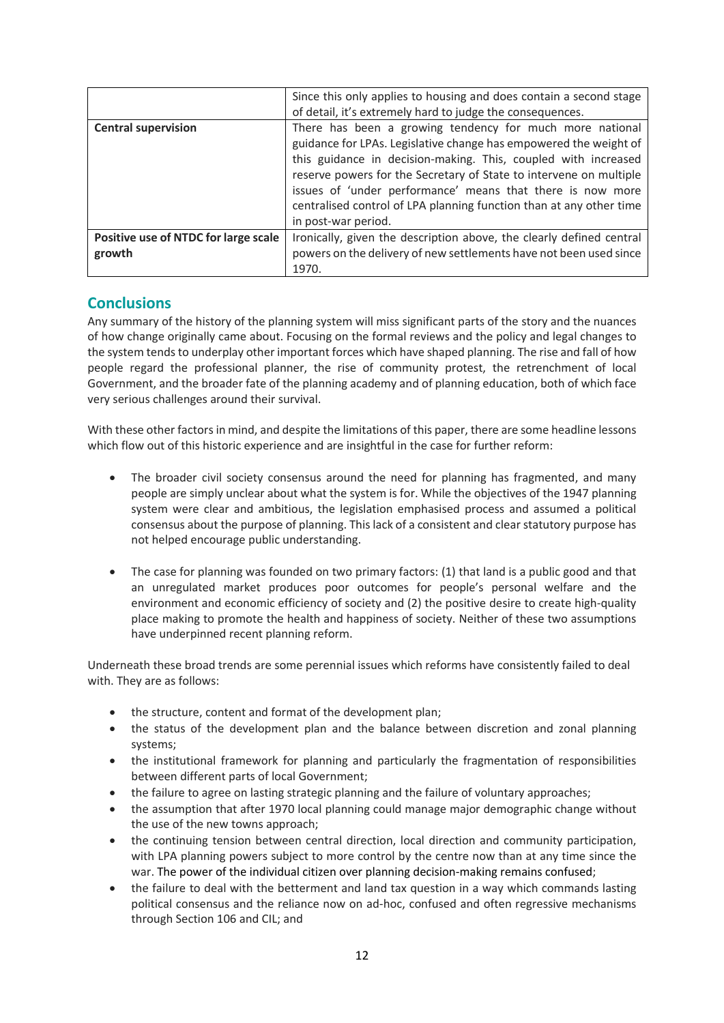|                                      | Since this only applies to housing and does contain a second stage   |
|--------------------------------------|----------------------------------------------------------------------|
|                                      | of detail, it's extremely hard to judge the consequences.            |
| <b>Central supervision</b>           | There has been a growing tendency for much more national             |
|                                      | guidance for LPAs. Legislative change has empowered the weight of    |
|                                      | this guidance in decision-making. This, coupled with increased       |
|                                      | reserve powers for the Secretary of State to intervene on multiple   |
|                                      | issues of 'under performance' means that there is now more           |
|                                      | centralised control of LPA planning function than at any other time  |
|                                      | in post-war period.                                                  |
| Positive use of NTDC for large scale | Ironically, given the description above, the clearly defined central |
| growth                               | powers on the delivery of new settlements have not been used since   |
|                                      | 1970.                                                                |

### **Conclusions**

Any summary of the history of the planning system will miss significant parts of the story and the nuances of how change originally came about. Focusing on the formal reviews and the policy and legal changes to the system tends to underplay other important forces which have shaped planning. The rise and fall of how people regard the professional planner, the rise of community protest, the retrenchment of local Government, and the broader fate of the planning academy and of planning education, both of which face very serious challenges around their survival.

With these other factors in mind, and despite the limitations of this paper, there are some headline lessons which flow out of this historic experience and are insightful in the case for further reform:

- The broader civil society consensus around the need for planning has fragmented, and many people are simply unclear about what the system is for. While the objectives of the 1947 planning system were clear and ambitious, the legislation emphasised process and assumed a political consensus about the purpose of planning. This lack of a consistent and clear statutory purpose has not helped encourage public understanding.
- The case for planning was founded on two primary factors: (1) that land is a public good and that an unregulated market produces poor outcomes for people's personal welfare and the environment and economic efficiency of society and (2) the positive desire to create high-quality place making to promote the health and happiness of society. Neither of these two assumptions have underpinned recent planning reform.

Underneath these broad trends are some perennial issues which reforms have consistently failed to deal with. They are as follows:

- the structure, content and format of the development plan;
- the status of the development plan and the balance between discretion and zonal planning systems;
- the institutional framework for planning and particularly the fragmentation of responsibilities between different parts of local Government;
- the failure to agree on lasting strategic planning and the failure of voluntary approaches;
- the assumption that after 1970 local planning could manage major demographic change without the use of the new towns approach;
- the continuing tension between central direction, local direction and community participation, with LPA planning powers subject to more control by the centre now than at any time since the war. The power of the individual citizen over planning decision-making remains confused;
- the failure to deal with the betterment and land tax question in a way which commands lasting political consensus and the reliance now on ad-hoc, confused and often regressive mechanisms through Section 106 and CIL; and